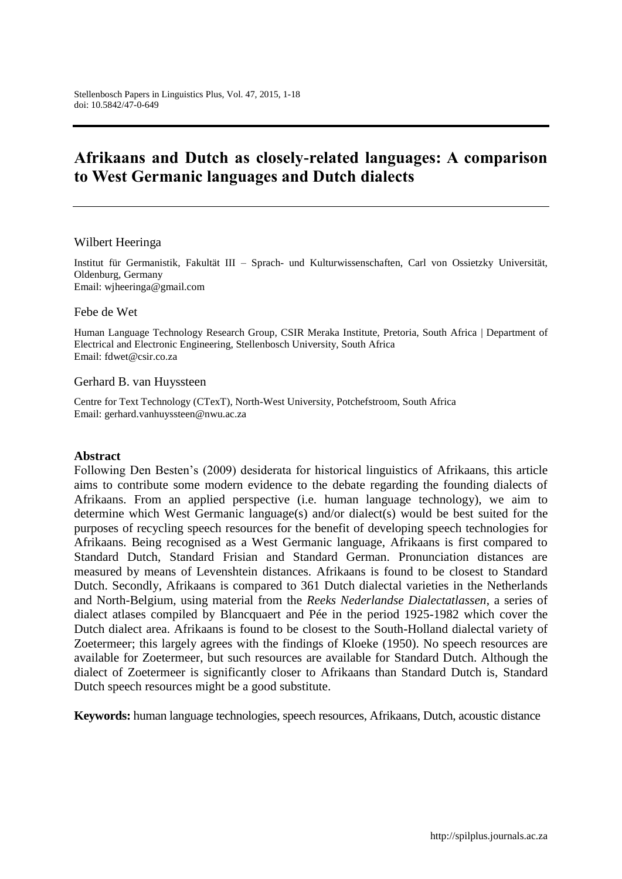# **Afrikaans and Dutch as closely-related languages: A comparison to West Germanic languages and Dutch dialects**

#### Wilbert Heeringa

[Institut für Germanistik,](http://www.uni-oldenburg.de/germanistik/) Fakultät III – Sprach- [und Kulturwissenschaften,](http://www.uni-oldenburg.de/fk3/) Carl von Ossietzky Universität, Oldenburg, Germany Email: [wjheeringa@gmail.com](mailto:wjheeringa@gmail.com)

Febe de Wet

Human Language Technology Research Group, CSIR Meraka Institute, Pretoria, South Africa | Department of Electrical and Electronic Engineering, Stellenbosch University, South Africa Email: [fdwet@csir.co.za](mailto:fdwet@csir.co.za)

#### Gerhard B. van Huyssteen

Centre for Text Technology (CTexT), North-West University, Potchefstroom, South Africa Email: [gerhard.vanhuyssteen@nwu.ac.za](mailto:gerhard.vanhuyssteen@nwu.ac.za)

#### **Abstract**

Following Den Besten"s (2009) desiderata for historical linguistics of Afrikaans, this article aims to contribute some modern evidence to the debate regarding the founding dialects of Afrikaans. From an applied perspective (i.e. human language technology), we aim to determine which West Germanic language(s) and/or dialect(s) would be best suited for the purposes of recycling speech resources for the benefit of developing speech technologies for Afrikaans. Being recognised as a West Germanic language, Afrikaans is first compared to Standard Dutch, Standard Frisian and Standard German. Pronunciation distances are measured by means of Levenshtein distances. Afrikaans is found to be closest to Standard Dutch. Secondly, Afrikaans is compared to 361 Dutch dialectal varieties in the Netherlands and North-Belgium, using material from the *Reeks Nederlandse Dialectatlassen*, a series of dialect atlases compiled by Blancquaert and Pée in the period 1925-1982 which cover the Dutch dialect area. Afrikaans is found to be closest to the South-Holland dialectal variety of Zoetermeer; this largely agrees with the findings of Kloeke (1950). No speech resources are available for Zoetermeer, but such resources are available for Standard Dutch. Although the dialect of Zoetermeer is significantly closer to Afrikaans than Standard Dutch is, Standard Dutch speech resources might be a good substitute.

**Keywords:** human language technologies, speech resources, Afrikaans, Dutch, acoustic distance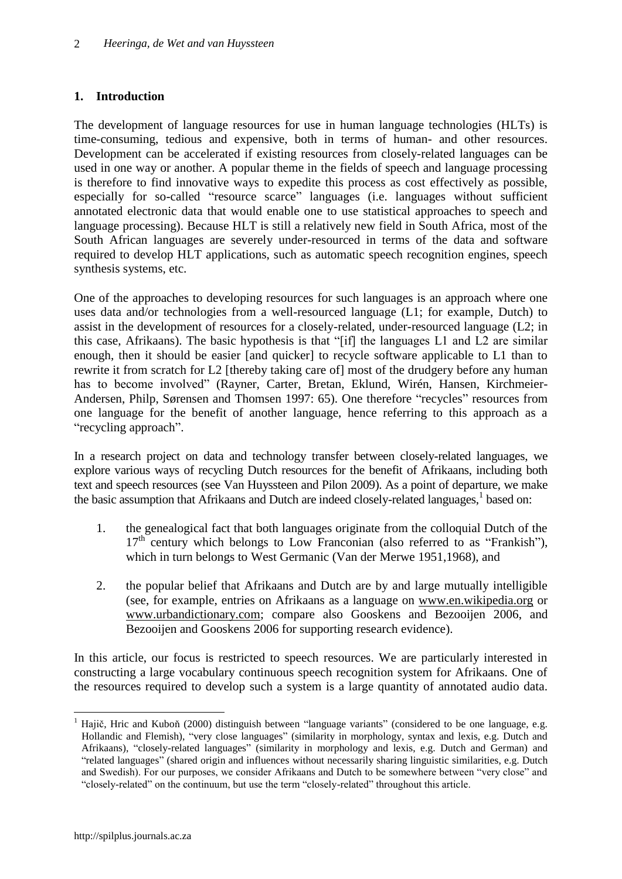# **1. Introduction**

The development of language resources for use in human language technologies (HLTs) is time-consuming, tedious and expensive, both in terms of human- and other resources. Development can be accelerated if existing resources from closely-related languages can be used in one way or another. A popular theme in the fields of speech and language processing is therefore to find innovative ways to expedite this process as cost effectively as possible, especially for so-called "resource scarce" languages (i.e. languages without sufficient annotated electronic data that would enable one to use statistical approaches to speech and language processing). Because HLT is still a relatively new field in South Africa, most of the South African languages are severely under-resourced in terms of the data and software required to develop HLT applications, such as automatic speech recognition engines, speech synthesis systems, etc.

One of the approaches to developing resources for such languages is an approach where one uses data and/or technologies from a well-resourced language (L1; for example, Dutch) to assist in the development of resources for a closely-related, under-resourced language (L2; in this case, Afrikaans). The basic hypothesis is that "[if] the languages L1 and L2 are similar enough, then it should be easier [and quicker] to recycle software applicable to L1 than to rewrite it from scratch for L2 [thereby taking care of] most of the drudgery before any human has to become involved" (Rayner, Carter, Bretan, Eklund, Wirén, Hansen, Kirchmeier-Andersen, Philp, Sørensen and Thomsen 1997: 65). One therefore "recycles" resources from one language for the benefit of another language, hence referring to this approach as a "recycling approach".

In a research project on data and technology transfer between closely-related languages, we explore various ways of recycling Dutch resources for the benefit of Afrikaans, including both text and speech resources (see Van Huyssteen and Pilon 2009). As a point of departure, we make the basic assumption that Afrikaans and Dutch are indeed closely-related languages,<sup>1</sup> based on:

- 1. the genealogical fact that both languages originate from the colloquial Dutch of the  $17<sup>th</sup>$  century which belongs to Low Franconian (also referred to as "Frankish"), which in turn belongs to West Germanic (Van der Merwe 1951,1968), and
- 2. the popular belief that Afrikaans and Dutch are by and large mutually intelligible (see, for example, entries on Afrikaans as a language on [www.en.wikipedia.org](http://www.en.wikipedia.org/) or [www.urbandictionary.com;](http://www.urbandictionary.com/) compare also Gooskens and Bezooijen 2006, and Bezooijen and Gooskens 2006 for supporting research evidence).

In this article, our focus is restricted to speech resources. We are particularly interested in constructing a large vocabulary continuous speech recognition system for Afrikaans. One of the resources required to develop such a system is a large quantity of annotated audio data.

 $\overline{a}$ 

<sup>1</sup> Hajič, Hric and Kuboň (2000) distinguish between "language variants" (considered to be one language, e.g. Hollandic and Flemish), "very close languages" (similarity in morphology, syntax and lexis, e.g. Dutch and Afrikaans), "closely-related languages" (similarity in morphology and lexis, e.g. Dutch and German) and "related languages" (shared origin and influences without necessarily sharing linguistic similarities, e.g. Dutch and Swedish). For our purposes, we consider Afrikaans and Dutch to be somewhere between "very close" and "closely-related" on the continuum, but use the term "closely-related" throughout this article.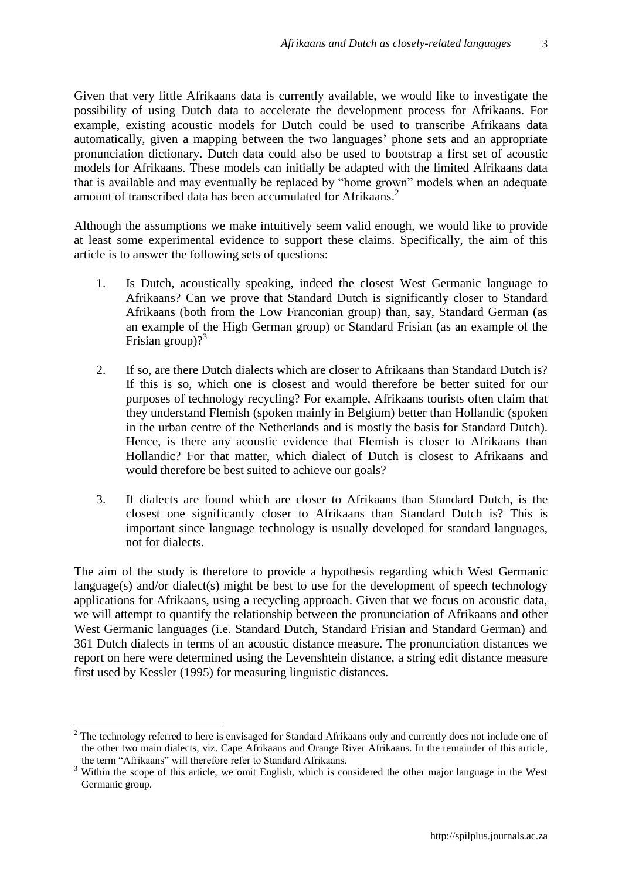3

Given that very little Afrikaans data is currently available, we would like to investigate the possibility of using Dutch data to accelerate the development process for Afrikaans. For example, existing acoustic models for Dutch could be used to transcribe Afrikaans data automatically, given a mapping between the two languages" phone sets and an appropriate pronunciation dictionary. Dutch data could also be used to bootstrap a first set of acoustic models for Afrikaans. These models can initially be adapted with the limited Afrikaans data that is available and may eventually be replaced by "home grown" models when an adequate amount of transcribed data has been accumulated for Afrikaans. 2

Although the assumptions we make intuitively seem valid enough, we would like to provide at least some experimental evidence to support these claims. Specifically, the aim of this article is to answer the following sets of questions:

- 1. Is Dutch, acoustically speaking, indeed the closest West Germanic language to Afrikaans? Can we prove that Standard Dutch is significantly closer to Standard Afrikaans (both from the Low Franconian group) than, say, Standard German (as an example of the High German group) or Standard Frisian (as an example of the Frisian group)?<sup>3</sup>
- 2. If so, are there Dutch dialects which are closer to Afrikaans than Standard Dutch is? If this is so, which one is closest and would therefore be better suited for our purposes of technology recycling? For example, Afrikaans tourists often claim that they understand Flemish (spoken mainly in Belgium) better than Hollandic (spoken in the urban centre of the Netherlands and is mostly the basis for Standard Dutch). Hence, is there any acoustic evidence that Flemish is closer to Afrikaans than Hollandic? For that matter, which dialect of Dutch is closest to Afrikaans and would therefore be best suited to achieve our goals?
- 3. If dialects are found which are closer to Afrikaans than Standard Dutch, is the closest one significantly closer to Afrikaans than Standard Dutch is? This is important since language technology is usually developed for standard languages, not for dialects.

The aim of the study is therefore to provide a hypothesis regarding which West Germanic language(s) and/or dialect(s) might be best to use for the development of speech technology applications for Afrikaans, using a recycling approach. Given that we focus on acoustic data, we will attempt to quantify the relationship between the pronunciation of Afrikaans and other West Germanic languages (i.e. Standard Dutch, Standard Frisian and Standard German) and 361 Dutch dialects in terms of an acoustic distance measure. The pronunciation distances we report on here were determined using the Levenshtein distance, a string edit distance measure first used by Kessler (1995) for measuring linguistic distances.

 $\overline{a}$ 

<sup>&</sup>lt;sup>2</sup> The technology referred to here is envisaged for Standard Afrikaans only and currently does not include one of the other two main dialects, viz. Cape Afrikaans and Orange River Afrikaans. In the remainder of this article, the term "Afrikaans" will therefore refer to Standard Afrikaans.

<sup>&</sup>lt;sup>3</sup> Within the scope of this article, we omit English, which is considered the other major language in the West Germanic group.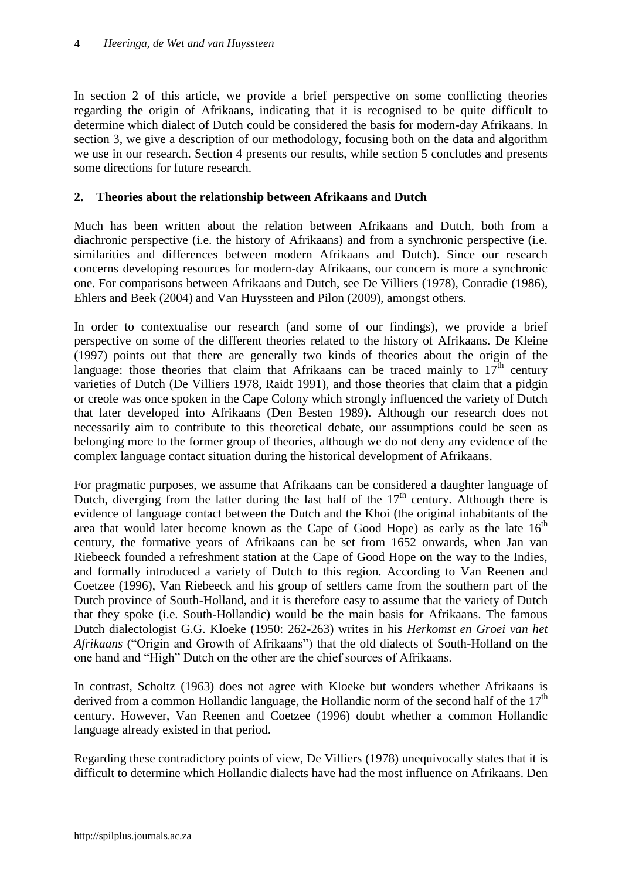In section 2 of this article, we provide a brief perspective on some conflicting theories regarding the origin of Afrikaans, indicating that it is recognised to be quite difficult to determine which dialect of Dutch could be considered the basis for modern-day Afrikaans. In section 3, we give a description of our methodology, focusing both on the data and algorithm we use in our research. Section 4 presents our results, while section 5 concludes and presents some directions for future research.

## **2. Theories about the relationship between Afrikaans and Dutch**

Much has been written about the relation between Afrikaans and Dutch, both from a diachronic perspective (i.e. the history of Afrikaans) and from a synchronic perspective (i.e. similarities and differences between modern Afrikaans and Dutch). Since our research concerns developing resources for modern-day Afrikaans, our concern is more a synchronic one. For comparisons between Afrikaans and Dutch, see De Villiers (1978), Conradie (1986), Ehlers and Beek (2004) and Van Huyssteen and Pilon (2009), amongst others.

In order to contextualise our research (and some of our findings), we provide a brief perspective on some of the different theories related to the history of Afrikaans. De Kleine (1997) points out that there are generally two kinds of theories about the origin of the language: those theories that claim that Afrikaans can be traced mainly to  $17<sup>th</sup>$  century varieties of Dutch (De Villiers 1978, Raidt 1991), and those theories that claim that a pidgin or creole was once spoken in the Cape Colony which strongly influenced the variety of Dutch that later developed into Afrikaans (Den Besten 1989). Although our research does not necessarily aim to contribute to this theoretical debate, our assumptions could be seen as belonging more to the former group of theories, although we do not deny any evidence of the complex language contact situation during the historical development of Afrikaans.

For pragmatic purposes, we assume that Afrikaans can be considered a daughter language of Dutch, diverging from the latter during the last half of the  $17<sup>th</sup>$  century. Although there is evidence of language contact between the Dutch and the Khoi (the original inhabitants of the area that would later become known as the Cape of Good Hope) as early as the late  $16<sup>th</sup>$ century, the formative years of Afrikaans can be set from 1652 onwards, when Jan van Riebeeck founded a refreshment station at the Cape of Good Hope on the way to the Indies, and formally introduced a variety of Dutch to this region. According to Van Reenen and Coetzee (1996), Van Riebeeck and his group of settlers came from the southern part of the Dutch province of South-Holland, and it is therefore easy to assume that the variety of Dutch that they spoke (i.e. South-Hollandic) would be the main basis for Afrikaans. The famous Dutch dialectologist G.G. Kloeke (1950: 262-263) writes in his *Herkomst en Groei van het Afrikaans* ("Origin and Growth of Afrikaans") that the old dialects of South-Holland on the one hand and "High" Dutch on the other are the chief sources of Afrikaans.

In contrast, Scholtz (1963) does not agree with Kloeke but wonders whether Afrikaans is derived from a common Hollandic language, the Hollandic norm of the second half of the  $17<sup>th</sup>$ century. However, Van Reenen and Coetzee (1996) doubt whether a common Hollandic language already existed in that period.

Regarding these contradictory points of view, De Villiers (1978) unequivocally states that it is difficult to determine which Hollandic dialects have had the most influence on Afrikaans. Den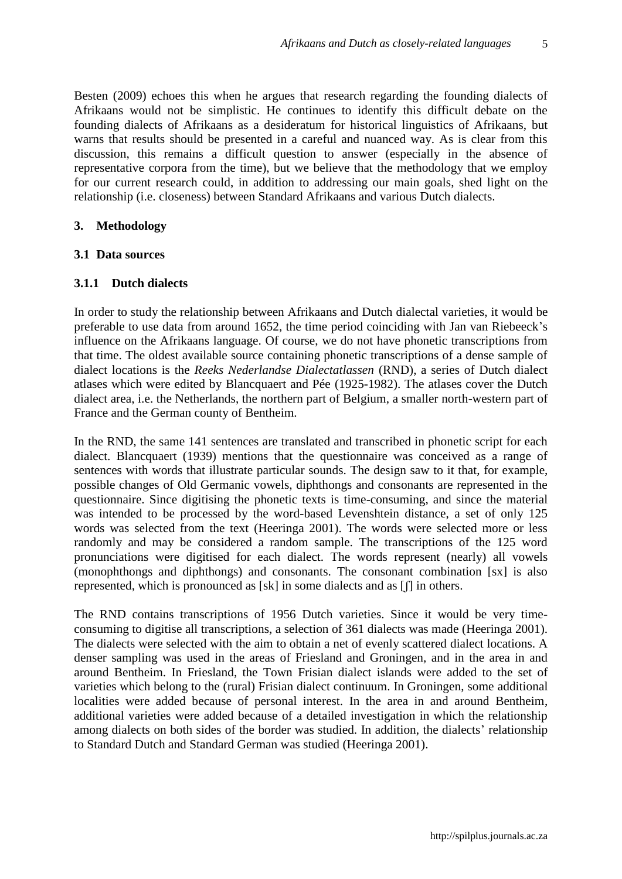5

Besten (2009) echoes this when he argues that research regarding the founding dialects of Afrikaans would not be simplistic. He continues to identify this difficult debate on the founding dialects of Afrikaans as a desideratum for historical linguistics of Afrikaans, but warns that results should be presented in a careful and nuanced way. As is clear from this discussion, this remains a difficult question to answer (especially in the absence of representative corpora from the time), but we believe that the methodology that we employ for our current research could, in addition to addressing our main goals, shed light on the relationship (i.e. closeness) between Standard Afrikaans and various Dutch dialects.

### **3. Methodology**

### **3.1 Data sources**

### **3.1.1 Dutch dialects**

In order to study the relationship between Afrikaans and Dutch dialectal varieties, it would be preferable to use data from around 1652, the time period coinciding with Jan van Riebeeck"s influence on the Afrikaans language. Of course, we do not have phonetic transcriptions from that time. The oldest available source containing phonetic transcriptions of a dense sample of dialect locations is the *Reeks Nederlandse Dialectatlassen* (RND), a series of Dutch dialect atlases which were edited by Blancquaert and Pée (1925-1982). The atlases cover the Dutch dialect area, i.e. the Netherlands, the northern part of Belgium, a smaller north-western part of France and the German county of Bentheim.

In the RND, the same 141 sentences are translated and transcribed in phonetic script for each dialect. Blancquaert (1939) mentions that the questionnaire was conceived as a range of sentences with words that illustrate particular sounds. The design saw to it that, for example, possible changes of Old Germanic vowels, diphthongs and consonants are represented in the questionnaire. Since digitising the phonetic texts is time-consuming, and since the material was intended to be processed by the word-based Levenshtein distance, a set of only 125 words was selected from the text (Heeringa 2001). The words were selected more or less randomly and may be considered a random sample. The transcriptions of the 125 word pronunciations were digitised for each dialect. The words represent (nearly) all vowels (monophthongs and diphthongs) and consonants. The consonant combination [sx] is also represented, which is pronounced as [sk] in some dialects and as [ʃ] in others.

The RND contains transcriptions of 1956 Dutch varieties. Since it would be very timeconsuming to digitise all transcriptions, a selection of 361 dialects was made (Heeringa 2001). The dialects were selected with the aim to obtain a net of evenly scattered dialect locations. A denser sampling was used in the areas of Friesland and Groningen, and in the area in and around Bentheim. In Friesland, the Town Frisian dialect islands were added to the set of varieties which belong to the (rural) Frisian dialect continuum. In Groningen, some additional localities were added because of personal interest. In the area in and around Bentheim, additional varieties were added because of a detailed investigation in which the relationship among dialects on both sides of the border was studied. In addition, the dialects' relationship to Standard Dutch and Standard German was studied (Heeringa 2001).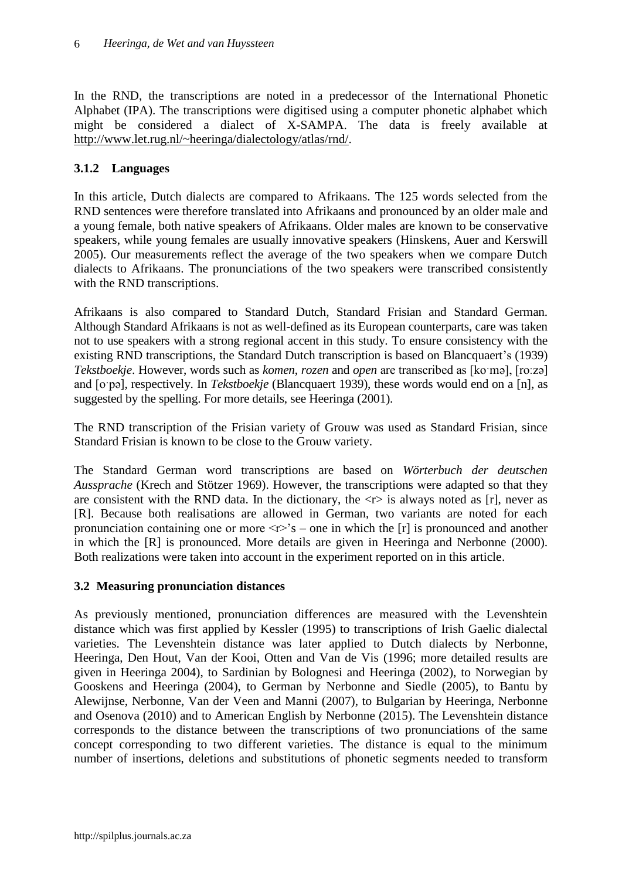In the RND, the transcriptions are noted in a predecessor of the International Phonetic Alphabet (IPA). The transcriptions were digitised using a computer phonetic alphabet which might be considered a dialect of X-SAMPA. The data is freely available at [http://www.let.rug.nl/~heeringa/dialectology/atlas/rnd/.](http://www.let.rug.nl/‌~heeringa/dialectology/atlas/rnd/)

# **3.1.2 Languages**

In this article, Dutch dialects are compared to Afrikaans. The 125 words selected from the RND sentences were therefore translated into Afrikaans and pronounced by an older male and a young female, both native speakers of Afrikaans. Older males are known to be conservative speakers, while young females are usually innovative speakers (Hinskens, Auer and Kerswill 2005). Our measurements reflect the average of the two speakers when we compare Dutch dialects to Afrikaans. The pronunciations of the two speakers were transcribed consistently with the RND transcriptions.

Afrikaans is also compared to Standard Dutch, Standard Frisian and Standard German. Although Standard Afrikaans is not as well-defined as its European counterparts, care was taken not to use speakers with a strong regional accent in this study. To ensure consistency with the existing RND transcriptions, the Standard Dutch transcription is based on Blancquaert's (1939) *Tekstboekje*. However, words such as *komen*, *rozen* and *open* are transcribed as [koˑmə], [roːzə] and [oˑpə], respectively. In *Tekstboekje* (Blancquaert 1939), these words would end on a [n], as suggested by the spelling. For more details, see Heeringa (2001).

The RND transcription of the Frisian variety of Grouw was used as Standard Frisian, since Standard Frisian is known to be close to the Grouw variety.

The Standard German word transcriptions are based on *Wörterbuch der deutschen Aussprache* (Krech and Stötzer 1969). However, the transcriptions were adapted so that they are consistent with the RND data. In the dictionary, the  $\langle r \rangle$  is always noted as [r], never as [R]. Because both realisations are allowed in German, two variants are noted for each pronunciation containing one or more  $\langle r \rangle$ 's – one in which the [r] is pronounced and another in which the [R] is pronounced. More details are given in [Heeringa and Nerbonne](#page-15-0) (2000). Both realizations were taken into account in the experiment reported on in this article.

# **3.2 Measuring pronunciation distances**

As previously mentioned, pronunciation differences are measured with the Levenshtein distance which was first applied by Kessler (1995) to transcriptions of Irish Gaelic dialectal varieties. The Levenshtein distance was later applied to Dutch dialects by Nerbonne, Heeringa, Den Hout, Van der Kooi, Otten and Van de Vis (1996; more detailed results are given in Heeringa 2004), to Sardinian by [Bolognesi and Heeringa](#page-15-1) (2002), to Norwegian by [Gooskens and Heeringa](#page-15-2) (2004), to German by [Nerbonne and Siedle](#page-16-0) (2005), to Bantu by [Alewijnse, Nerbonne, Van der Veen and Manni](#page-14-0) (2007), to Bulgarian by Heeringa, Nerbonne and Osenova (2010) and to American English by Nerbonne (2015). The Levenshtein distance corresponds to the distance between the transcriptions of two pronunciations of the same concept corresponding to two different varieties. The distance is equal to the minimum number of insertions, deletions and substitutions of phonetic segments needed to transform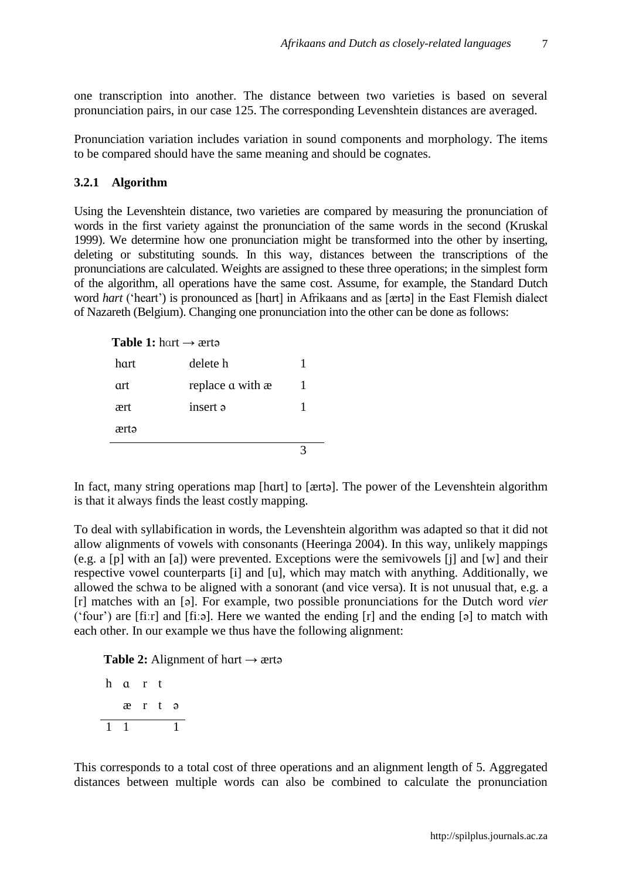7

one transcription into another. The distance between two varieties is based on several pronunciation pairs, in our case 125. The corresponding Levenshtein distances are averaged.

Pronunciation variation includes variation in sound components and morphology. The items to be compared should have the same meaning and should be cognates.

### **3.2.1 Algorithm**

Using the Levenshtein distance, two varieties are compared by measuring the pronunciation of words in the first variety against the pronunciation of the same words in the second (Kruskal 1999). We determine how one pronunciation might be transformed into the other by inserting, deleting or substituting sounds. In this way, distances between the transcriptions of the pronunciations are calculated. Weights are assigned to these three operations; in the simplest form of the algorithm, all operations have the same cost. Assume, for example, the Standard Dutch word *hart* ('heart') is pronounced as [hɑrt] in Afrikaans and as [ærtə] in the East Flemish dialect of Nazareth (Belgium). Changing one pronunciation into the other can be done as follows:

#### **Table 1:** hart  $\rightarrow$  ærtə

| hart | delete h         |  |
|------|------------------|--|
| art  | replace a with æ |  |
| ært  | insert a         |  |
| ærtə |                  |  |
|      |                  |  |

In fact, many string operations map [hɑrt] to [ærtə]. The power of the Levenshtein algorithm is that it always finds the least costly mapping.

To deal with syllabification in words, the Levenshtein algorithm was adapted so that it did not allow alignments of vowels with consonants (Heeringa 2004). In this way, unlikely mappings (e.g. a [p] with an [a]) were prevented. Exceptions were the semivowels [j] and [w] and their respective vowel counterparts [i] and [u], which may match with anything. Additionally, we allowed the schwa to be aligned with a sonorant (and vice versa). It is not unusual that, e.g. a [r] matches with an [ə]. For example, two possible pronunciations for the Dutch word *vier* ("four") are [fiːr] and [fiːə]. Here we wanted the ending [r] and the ending [ə] to match with each other. In our example we thus have the following alignment:

**Table 2:** Alignment of hart  $\rightarrow$  ærtə

|              | h a r t |       |  |  |
|--------------|---------|-------|--|--|
|              |         | ært ə |  |  |
| $\mathbf{1}$ |         |       |  |  |

This corresponds to a total cost of three operations and an alignment length of 5. Aggregated distances between multiple words can also be combined to calculate the pronunciation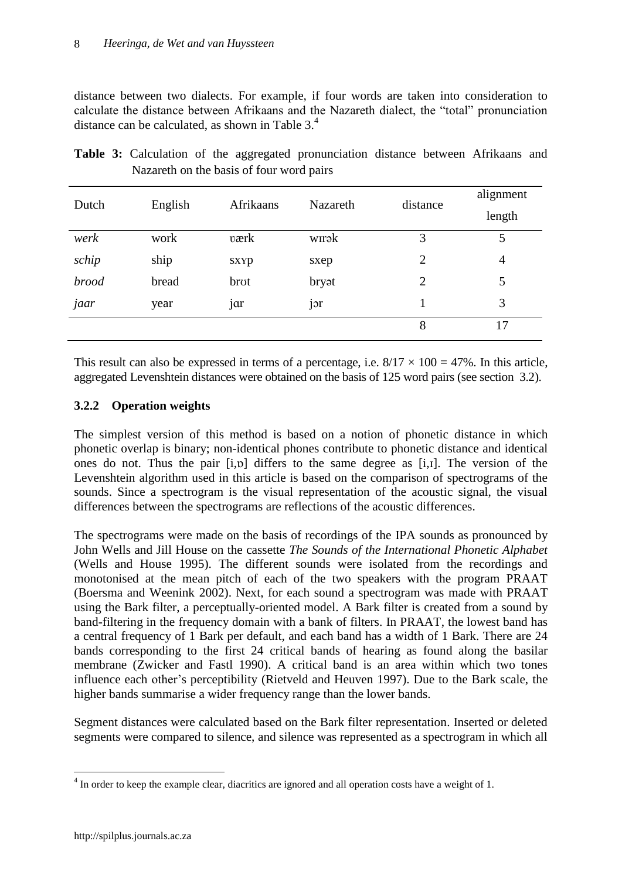distance between two dialects. For example, if four words are taken into consideration to calculate the distance between Afrikaans and the Nazareth dialect, the "total" pronunciation distance can be calculated, as shown in [Table 3.](#page-7-0)<sup>4</sup>

| Dutch        | English | Afrikaans | <b>Nazareth</b> | distance       | alignment<br>length |
|--------------|---------|-----------|-----------------|----------------|---------------------|
| werk         | work    | værk      | wırək           | 3              | 5                   |
| schip        | ship    | sxyp      | sxep            | $\overline{2}$ | $\overline{4}$      |
| <i>brood</i> | bread   | brot      | bryat           | $\overline{2}$ | 5                   |
| jaar         | year    | jar       | jor             |                | 3                   |
|              |         |           |                 | 8              | 17                  |

<span id="page-7-0"></span>

|  |                                          |  | Table 3: Calculation of the aggregated pronunciation distance between Afrikaans and |  |  |
|--|------------------------------------------|--|-------------------------------------------------------------------------------------|--|--|
|  | Nazareth on the basis of four word pairs |  |                                                                                     |  |  |

This result can also be expressed in terms of a percentage, i.e.  $8/17 \times 100 = 47\%$ . In this article, aggregated Levenshtein distances were obtained on the basis of 125 word pairs (see section 3.2).

# **3.2.2 Operation weights**

The simplest version of this method is based on a notion of phonetic distance in which phonetic overlap is binary; non-identical phones contribute to phonetic distance and identical ones do not. Thus the pair [i,ɒ] differs to the same degree as [i,ɪ]. The version of the Levenshtein algorithm used in this article is based on the comparison of spectrograms of the sounds. Since a spectrogram is the visual representation of the acoustic signal, the visual differences between the spectrograms are reflections of the acoustic differences.

The spectrograms were made on the basis of recordings of the IPA sounds as pronounced by John Wells and Jill House on the cassette *The Sounds of the International Phonetic Alphabet* (Wells and House 1995). The different sounds were isolated from the recordings and monotonised at the mean pitch of each of the two speakers with the program PRAAT (Boersma and Weenink 2002). Next, for each sound a spectrogram was made with PRAAT using the Bark filter, a perceptually-oriented model. A Bark filter is created from a sound by band-filtering in the frequency domain with a bank of filters. In PRAAT, the lowest band has a central frequency of 1 Bark per default, and each band has a width of 1 Bark. There are 24 bands corresponding to the first 24 critical bands of hearing as found along the basilar membrane (Zwicker and Fastl 1990). A critical band is an area within which two tones influence each other"s perceptibility (Rietveld and Heuven 1997). Due to the Bark scale, the higher bands summarise a wider frequency range than the lower bands.

Segment distances were calculated based on the Bark filter representation. Inserted or deleted segments were compared to silence, and silence was represented as a spectrogram in which all

 $\overline{a}$ 

 $<sup>4</sup>$  In order to keep the example clear, diacritics are ignored and all operation costs have a weight of 1.</sup>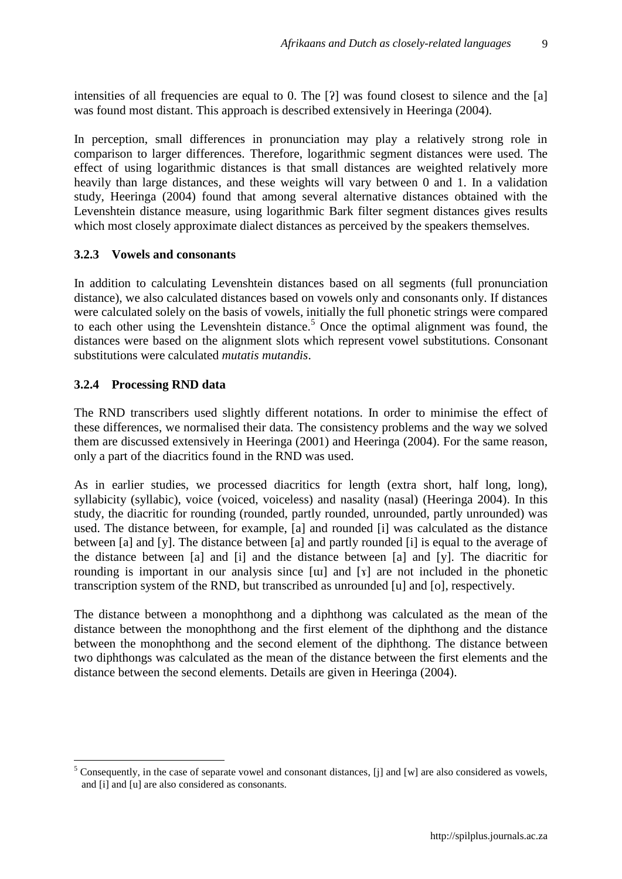intensities of all frequencies are equal to 0. The [?] was found closest to silence and the [a] was found most distant. This approach is described extensively in Heeringa (2004).

In perception, small differences in pronunciation may play a relatively strong role in comparison to larger differences. Therefore, logarithmic segment distances were used. The effect of using logarithmic distances is that small distances are weighted relatively more heavily than large distances, and these weights will vary between 0 and 1. In a validation study, Heeringa (2004) found that among several alternative distances obtained with the Levenshtein distance measure, using logarithmic Bark filter segment distances gives results which most closely approximate dialect distances as perceived by the speakers themselves.

### **3.2.3 Vowels and consonants**

In addition to calculating Levenshtein distances based on all segments (full pronunciation distance), we also calculated distances based on vowels only and consonants only. If distances were calculated solely on the basis of vowels, initially the full phonetic strings were compared to each other using the Levenshtein distance.<sup>5</sup> Once the optimal alignment was found, the distances were based on the alignment slots which represent vowel substitutions. Consonant substitutions were calculated *mutatis mutandis*.

### **3.2.4 Processing RND data**

 $\overline{a}$ 

The RND transcribers used slightly different notations. In order to minimise the effect of these differences, we normalised their data. The consistency problems and the way we solved them are discussed extensively in Heeringa (2001) and Heeringa (2004). For the same reason, only a part of the diacritics found in the RND was used.

As in earlier studies, we processed diacritics for length (extra short, half long, long), syllabicity (syllabic), voice (voiced, voiceless) and nasality (nasal) (Heeringa 2004). In this study, the diacritic for rounding (rounded, partly rounded, unrounded, partly unrounded) was used. The distance between, for example, [a] and rounded [i] was calculated as the distance between [a] and [y]. The distance between [a] and partly rounded [i] is equal to the average of the distance between [a] and [i] and the distance between [a] and [y]. The diacritic for rounding is important in our analysis since [ɯ] and [ɤ] are not included in the phonetic transcription system of the RND, but transcribed as unrounded [u] and [o], respectively.

The distance between a monophthong and a diphthong was calculated as the mean of the distance between the monophthong and the first element of the diphthong and the distance between the monophthong and the second element of the diphthong. The distance between two diphthongs was calculated as the mean of the distance between the first elements and the distance between the second elements. Details are given in Heeringa (2004).

<sup>&</sup>lt;sup>5</sup> Consequently, in the case of separate vowel and consonant distances, [j] and [w] are also considered as vowels, and [i] and [u] are also considered as consonants.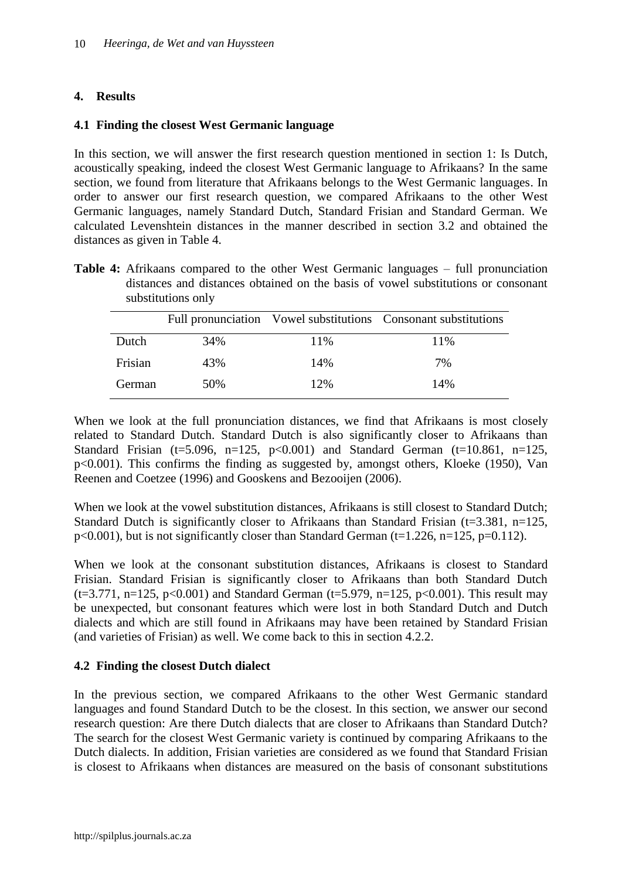### **4. Results**

### **4.1 Finding the closest West Germanic language**

In this section, we will answer the first research question mentioned in section 1: Is Dutch, acoustically speaking, indeed the closest West Germanic language to Afrikaans? In the same section, we found from literature that Afrikaans belongs to the West Germanic languages. In order to answer our first research question, we compared Afrikaans to the other West Germanic languages, namely Standard Dutch, Standard Frisian and Standard German. We calculated Levenshtein distances in the manner described in section 3.2 and obtained the distances as given in [Table 4.](#page-9-0)

<span id="page-9-0"></span>**Table 4:** Afrikaans compared to the other West Germanic languages – full pronunciation distances and distances obtained on the basis of vowel substitutions or consonant substitutions only

|         |     |     | Full pronunciation Vowel substitutions Consonant substitutions |
|---------|-----|-----|----------------------------------------------------------------|
| Dutch   | 34% | 11% | 11%                                                            |
| Frisian | 43% | 14% | 7%                                                             |
| German  | 50% | 12% | 14%                                                            |

When we look at the full pronunciation distances, we find that Afrikaans is most closely related to Standard Dutch. Standard Dutch is also significantly closer to Afrikaans than Standard Frisian (t=5.096, n=125,  $p<0.001$ ) and Standard German (t=10.861, n=125, p<0.001). This confirms the finding as suggested by, amongst others, Kloeke (1950), Van Reenen and Coetzee (1996) and [Gooskens and Bezooijen](#page-15-3) (2006).

When we look at the vowel substitution distances, Afrikaans is still closest to Standard Dutch; Standard Dutch is significantly closer to Afrikaans than Standard Frisian ( $t=3.381$ ,  $n=125$ ,  $p<0.001$ ), but is not significantly closer than Standard German (t=1.226, n=125, p=0.112).

When we look at the consonant substitution distances, Afrikaans is closest to Standard Frisian. Standard Frisian is significantly closer to Afrikaans than both Standard Dutch  $(t=3.771, n=125, p<0.001)$  and Standard German  $(t=5.979, n=125, p<0.001)$ . This result may be unexpected, but consonant features which were lost in both Standard Dutch and Dutch dialects and which are still found in Afrikaans may have been retained by Standard Frisian (and varieties of Frisian) as well. We come back to this in section 4.2.2.

### **4.2 Finding the closest Dutch dialect**

In the previous section, we compared Afrikaans to the other West Germanic standard languages and found Standard Dutch to be the closest. In this section, we answer our second research question: Are there Dutch dialects that are closer to Afrikaans than Standard Dutch? The search for the closest West Germanic variety is continued by comparing Afrikaans to the Dutch dialects. In addition, Frisian varieties are considered as we found that Standard Frisian is closest to Afrikaans when distances are measured on the basis of consonant substitutions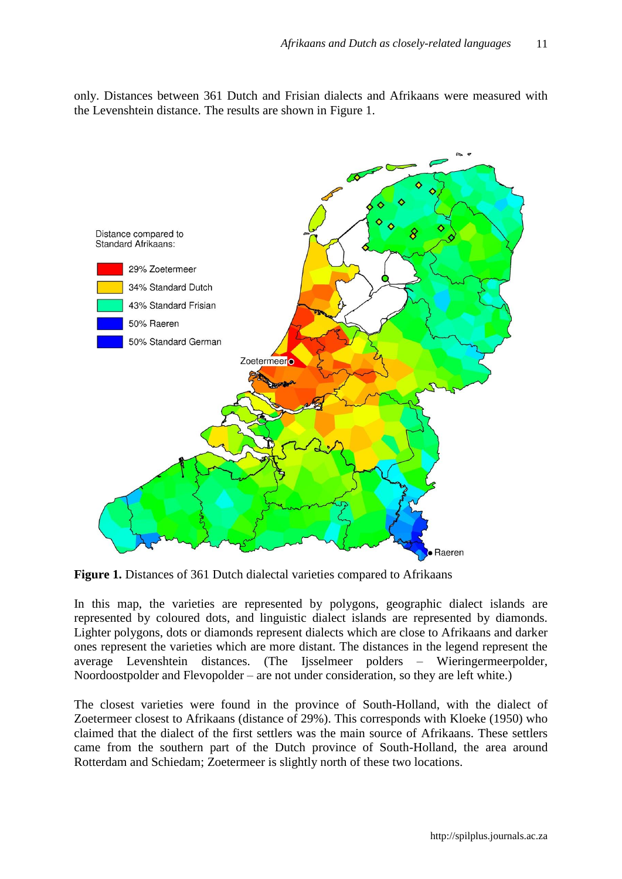only. Distances between 361 Dutch and Frisian dialects and Afrikaans were measured with the Levenshtein distance. The results are shown in [Figure 1.](#page-10-0)



<span id="page-10-0"></span>**Figure 1.** Distances of 361 Dutch dialectal varieties compared to Afrikaans

In this map, the varieties are represented by polygons, geographic dialect islands are represented by coloured dots, and linguistic dialect islands are represented by diamonds. Lighter polygons, dots or diamonds represent dialects which are close to Afrikaans and darker ones represent the varieties which are more distant. The distances in the legend represent the average Levenshtein distances. (The Ijsselmeer polders – Wieringermeerpolder, Noordoostpolder and Flevopolder – are not under consideration, so they are left white.)

The closest varieties were found in the province of South-Holland, with the dialect of Zoetermeer closest to Afrikaans (distance of 29%). This corresponds with Kloeke (1950) who claimed that the dialect of the first settlers was the main source of Afrikaans. These settlers came from the southern part of the Dutch province of South-Holland, the area around Rotterdam and Schiedam; Zoetermeer is slightly north of these two locations.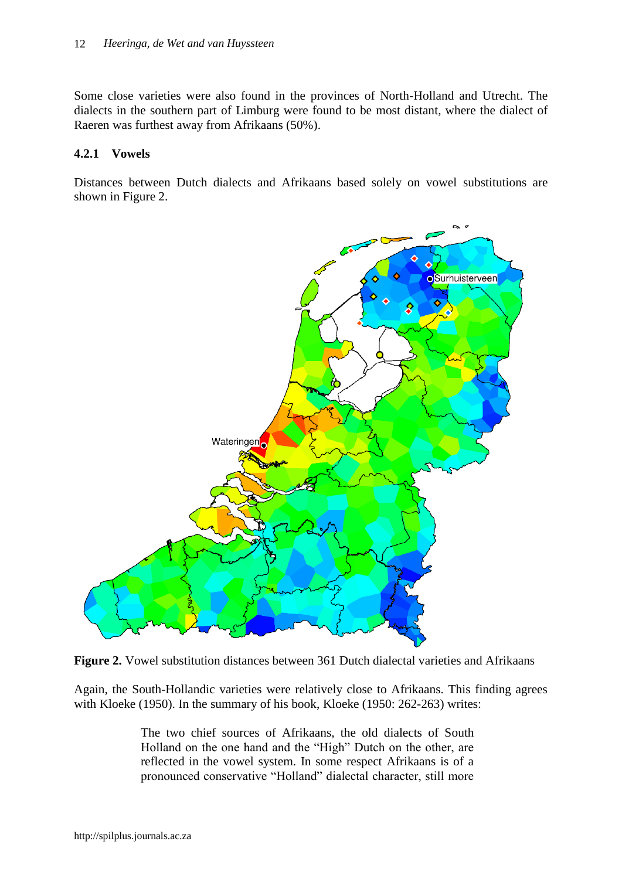Some close varieties were also found in the provinces of North-Holland and Utrecht. The dialects in the southern part of Limburg were found to be most distant, where the dialect of Raeren was furthest away from Afrikaans (50%).

### **4.2.1 Vowels**

Distances between Dutch dialects and Afrikaans based solely on vowel substitutions are shown in [Figure 2.](#page-11-0)



<span id="page-11-0"></span>

Again, the South-Hollandic varieties were relatively close to Afrikaans. This finding agrees with Kloeke (1950). In the summary of his book, Kloeke (1950: 262-263) writes:

> The two chief sources of Afrikaans, the old dialects of South Holland on the one hand and the "High" Dutch on the other, are reflected in the vowel system. In some respect Afrikaans is of a pronounced conservative "Holland" dialectal character, still more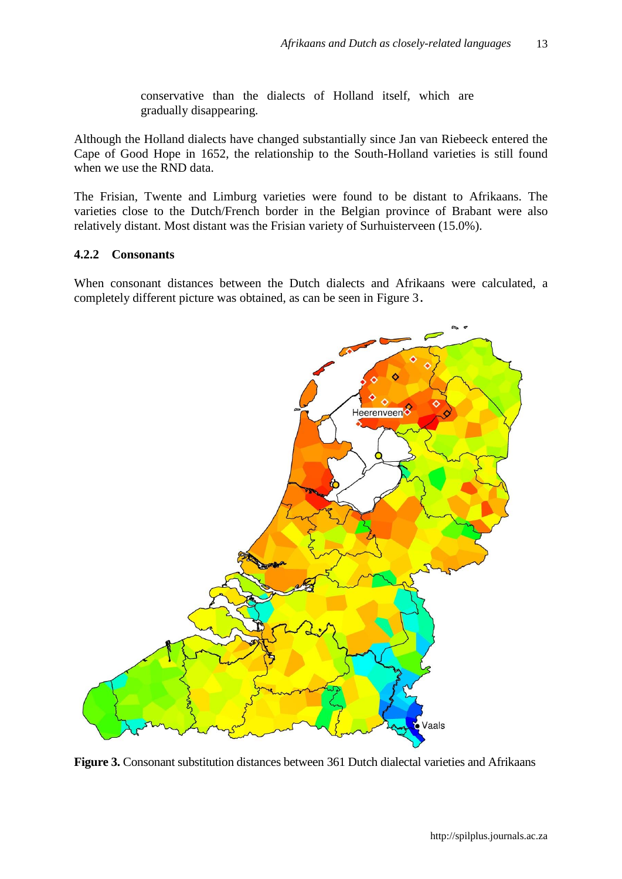conservative than the dialects of Holland itself, which are gradually disappearing.

Although the Holland dialects have changed substantially since Jan van Riebeeck entered the Cape of Good Hope in 1652, the relationship to the South-Holland varieties is still found when we use the RND data.

The Frisian, Twente and Limburg varieties were found to be distant to Afrikaans. The varieties close to the Dutch/French border in the Belgian province of Brabant were also relatively distant. Most distant was the Frisian variety of Surhuisterveen (15.0%).

### **4.2.2 Consonants**

When consonant distances between the Dutch dialects and Afrikaans were calculated, a completely different picture was obtained, as can be seen in [Figure 3](#page-12-0).



<span id="page-12-0"></span>**Figure 3.** Consonant substitution distances between 361 Dutch dialectal varieties and Afrikaans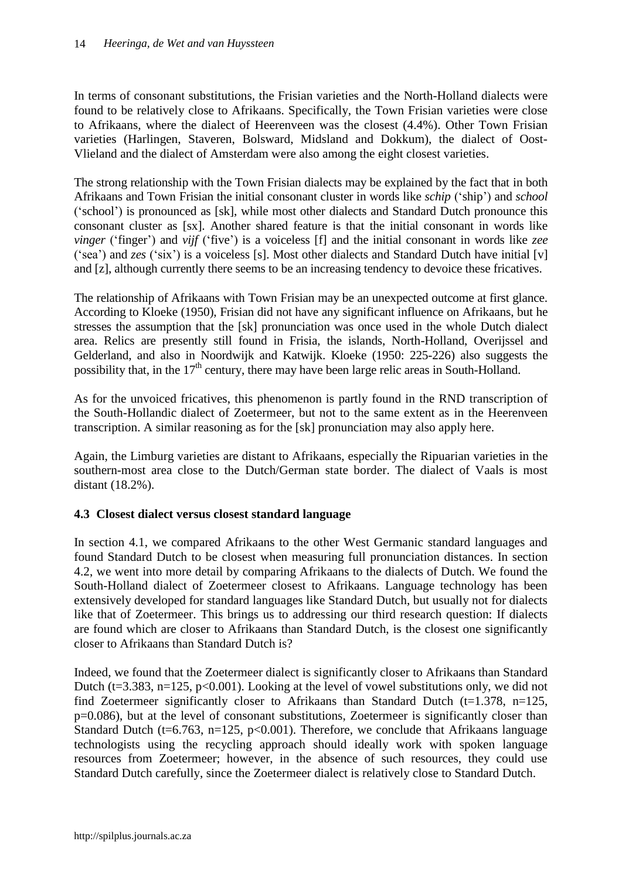In terms of consonant substitutions, the Frisian varieties and the North-Holland dialects were found to be relatively close to Afrikaans. Specifically, the Town Frisian varieties were close to Afrikaans, where the dialect of Heerenveen was the closest (4.4%). Other Town Frisian varieties (Harlingen, Staveren, Bolsward, Midsland and Dokkum), the dialect of Oost-Vlieland and the dialect of Amsterdam were also among the eight closest varieties.

The strong relationship with the Town Frisian dialects may be explained by the fact that in both Afrikaans and Town Frisian the initial consonant cluster in words like *schip* ("ship") and *school* ("school") is pronounced as [sk], while most other dialects and Standard Dutch pronounce this consonant cluster as [sx]. Another shared feature is that the initial consonant in words like *vinger* ('finger') and *vijf* ('five') is a voiceless [f] and the initial consonant in words like *zee* ("sea") and *zes* ("six") is a voiceless [s]. Most other dialects and Standard Dutch have initial [v] and [z], although currently there seems to be an increasing tendency to devoice these fricatives.

The relationship of Afrikaans with Town Frisian may be an unexpected outcome at first glance. According to Kloeke (1950), Frisian did not have any significant influence on Afrikaans, but he stresses the assumption that the [sk] pronunciation was once used in the whole Dutch dialect area. Relics are presently still found in Frisia, the islands, North-Holland, Overijssel and Gelderland, and also in Noordwijk and Katwijk. Kloeke (1950: 225-226) also suggests the possibility that, in the  $17<sup>th</sup>$  century, there may have been large relic areas in South-Holland.

As for the unvoiced fricatives, this phenomenon is partly found in the RND transcription of the South-Hollandic dialect of Zoetermeer, but not to the same extent as in the Heerenveen transcription. A similar reasoning as for the [sk] pronunciation may also apply here.

Again, the Limburg varieties are distant to Afrikaans, especially the Ripuarian varieties in the southern-most area close to the Dutch/German state border. The dialect of Vaals is most distant (18.2%).

# **4.3 Closest dialect versus closest standard language**

In section 4.1, we compared Afrikaans to the other West Germanic standard languages and found Standard Dutch to be closest when measuring full pronunciation distances. In section 4.2, we went into more detail by comparing Afrikaans to the dialects of Dutch. We found the South-Holland dialect of Zoetermeer closest to Afrikaans. Language technology has been extensively developed for standard languages like Standard Dutch, but usually not for dialects like that of Zoetermeer. This brings us to addressing our third research question: If dialects are found which are closer to Afrikaans than Standard Dutch, is the closest one significantly closer to Afrikaans than Standard Dutch is?

Indeed, we found that the Zoetermeer dialect is significantly closer to Afrikaans than Standard Dutch ( $t=3.383$ ,  $n=125$ ,  $p<0.001$ ). Looking at the level of vowel substitutions only, we did not find Zoetermeer significantly closer to Afrikaans than Standard Dutch ( $t=1.378$ ,  $n=125$ , p=0.086), but at the level of consonant substitutions, Zoetermeer is significantly closer than Standard Dutch (t=6.763, n=125, p<0.001). Therefore, we conclude that Afrikaans language technologists using the recycling approach should ideally work with spoken language resources from Zoetermeer; however, in the absence of such resources, they could use Standard Dutch carefully, since the Zoetermeer dialect is relatively close to Standard Dutch.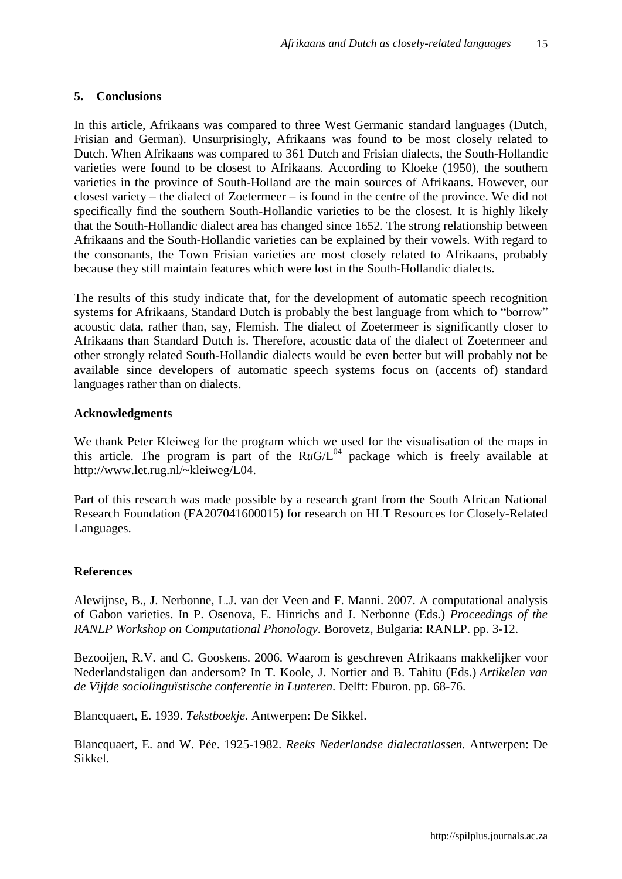#### **5. Conclusions**

In this article, Afrikaans was compared to three West Germanic standard languages (Dutch, Frisian and German). Unsurprisingly, Afrikaans was found to be most closely related to Dutch. When Afrikaans was compared to 361 Dutch and Frisian dialects, the South-Hollandic varieties were found to be closest to Afrikaans. According to Kloeke (1950), the southern varieties in the province of South-Holland are the main sources of Afrikaans. However, our closest variety – the dialect of Zoetermeer – is found in the centre of the province. We did not specifically find the southern South-Hollandic varieties to be the closest. It is highly likely that the South-Hollandic dialect area has changed since 1652. The strong relationship between Afrikaans and the South-Hollandic varieties can be explained by their vowels. With regard to the consonants, the Town Frisian varieties are most closely related to Afrikaans, probably because they still maintain features which were lost in the South-Hollandic dialects.

The results of this study indicate that, for the development of automatic speech recognition systems for Afrikaans, Standard Dutch is probably the best language from which to "borrow" acoustic data, rather than, say, Flemish. The dialect of Zoetermeer is significantly closer to Afrikaans than Standard Dutch is. Therefore, acoustic data of the dialect of Zoetermeer and other strongly related South-Hollandic dialects would be even better but will probably not be available since developers of automatic speech systems focus on (accents of) standard languages rather than on dialects.

### **Acknowledgments**

We thank Peter Kleiweg for the program which we used for the visualisation of the maps in this article. The program is part of the  $RuG/L^{04}$  package which is freely available at [http://www.let.rug.nl/~kleiweg/L04.](http://www.let.rug.nl/~kleiweg/L04)

Part of this research was made possible by a research grant from the South African National Research Foundation (FA207041600015) for research on HLT Resources for Closely-Related Languages.

#### **References**

<span id="page-14-0"></span>Alewijnse, B., J. Nerbonne, L.J. van der Veen and F. Manni. 2007. A computational analysis of Gabon varieties. In P. Osenova, E. Hinrichs and J. Nerbonne (Eds.) *Proceedings of the RANLP Workshop on Computational Phonology.* Borovetz, Bulgaria: RANLP. pp. 3-12.

Bezooijen, R.V. and C. Gooskens. 2006. Waarom is geschreven Afrikaans makkelijker voor Nederlandstaligen dan andersom? In T. Koole, J. Nortier and B. Tahitu (Eds.) *Artikelen van de Vijfde sociolinguïstische conferentie in Lunteren.* Delft: Eburon. pp. 68-76.

Blancquaert, E. 1939. *Tekstboekje.* Antwerpen: De Sikkel.

Blancquaert, E. and W. Pée. 1925-1982. *Reeks Nederlandse dialectatlassen.* Antwerpen: De Sikkel.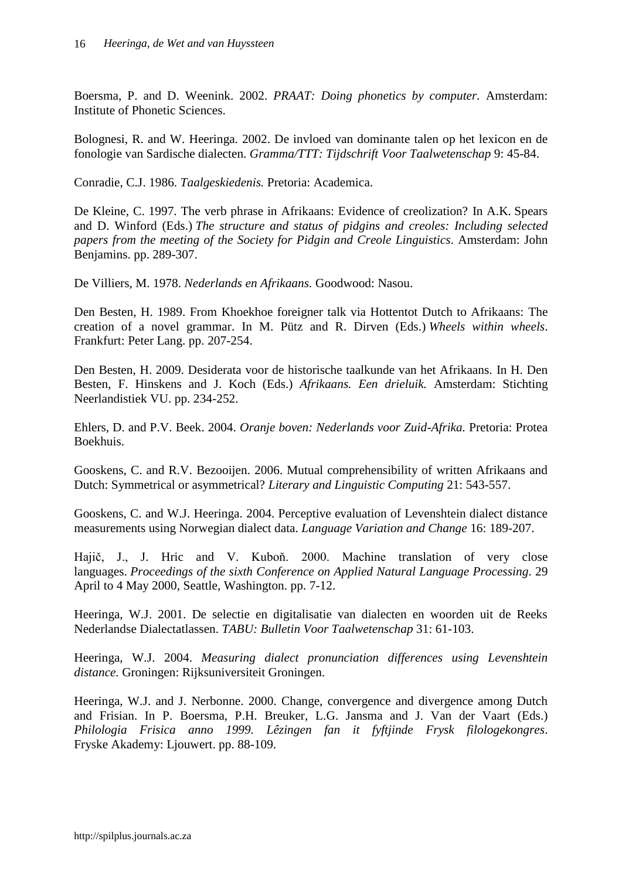Boersma, P. and D. Weenink. 2002. *PRAAT: Doing phonetics by computer.* Amsterdam: Institute of Phonetic Sciences.

<span id="page-15-1"></span>Bolognesi, R. and W. Heeringa. 2002. De invloed van dominante talen op het lexicon en de fonologie van Sardische dialecten. *Gramma/TTT: Tijdschrift Voor Taalwetenschap* 9: 45-84.

Conradie, C.J. 1986. *Taalgeskiedenis.* Pretoria: Academica.

De Kleine, C. 1997. The verb phrase in Afrikaans: Evidence of creolization? In A.K. Spears and D. Winford (Eds.) *The structure and status of pidgins and creoles: Including selected papers from the meeting of the Society for Pidgin and Creole Linguistics*. Amsterdam: John Benjamins. pp. 289-307.

De Villiers, M. 1978. *Nederlands en Afrikaans.* Goodwood: Nasou.

Den Besten, H. 1989. From Khoekhoe foreigner talk via Hottentot Dutch to Afrikaans: The creation of a novel grammar. In M. Pütz and R. Dirven (Eds.) *Wheels within wheels*. Frankfurt: Peter Lang. pp. 207-254.

Den Besten, H. 2009. Desiderata voor de historische taalkunde van het Afrikaans. In H. Den Besten, F. Hinskens and J. Koch (Eds.) *Afrikaans. Een drieluik.* Amsterdam: Stichting Neerlandistiek VU. pp. 234-252.

Ehlers, D. and P.V. Beek. 2004. *Oranje boven: Nederlands voor Zuid-Afrika.* Pretoria: Protea Boekhuis.

<span id="page-15-3"></span>Gooskens, C. and R.V. Bezooijen. 2006. Mutual comprehensibility of written Afrikaans and Dutch: Symmetrical or asymmetrical? *Literary and Linguistic Computing* 21: 543-557.

<span id="page-15-2"></span>Gooskens, C. and W.J. Heeringa. 2004. Perceptive evaluation of Levenshtein dialect distance measurements using Norwegian dialect data. *Language Variation and Change* 16: 189-207.

Hajič, J., J. Hric and V. Kuboň. 2000. Machine translation of very close languages. *Proceedings of the sixth Conference on Applied Natural Language Processing*. 29 April to 4 May 2000, Seattle, Washington. pp. 7-12.

Heeringa, W.J. 2001. De selectie en digitalisatie van dialecten en woorden uit de Reeks Nederlandse Dialectatlassen. *TABU: Bulletin Voor Taalwetenschap* 31: 61-103.

Heeringa, W.J. 2004. *Measuring dialect pronunciation differences using Levenshtein distance.* Groningen: Rijksuniversiteit Groningen.

<span id="page-15-0"></span>Heeringa, W.J. and J. Nerbonne. 2000. Change, convergence and divergence among Dutch and Frisian. In P. Boersma, P.H. Breuker, L.G. Jansma and J. Van der Vaart (Eds.) *Philologia Frisica anno 1999. Lêzingen fan it fyftjinde Frysk filologekongres*. Fryske Akademy: Ljouwert. pp. 88-109.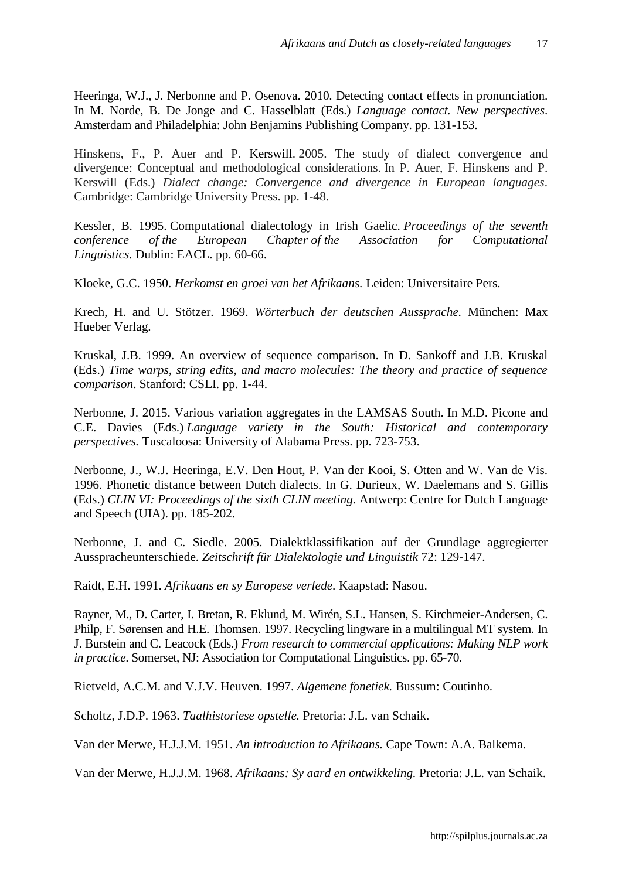Heeringa, W.J., J. Nerbonne and P. Osenova. 2010. [Detecting contact effects in pronunciation.](http://www.let.rug.nl/~heeringa/dialectology/papers/bul07.pdf) In M. Norde, B. De Jonge and C. Hasselblatt (Eds.) *Language contact. New perspectives*. Amsterdam and Philadelphia: John Benjamins Publishing Company. pp. 131-153.

Hinskens, F., P. Auer and P. Kerswill. 2005. The study of dialect convergence and divergence: Conceptual and methodological considerations. In P. Auer, F. Hinskens and P. Kerswill (Eds.) *Dialect change: Convergence and divergence in European languages*. Cambridge: Cambridge University Press. pp. 1-48.

Kessler, B. 1995. [Computational dialectology in Irish Gaelic.](http://xxx.lanl.gov/abs/cmp-lg/9503002) *Proceedings of the seventh conference of the European Chapter of the Association for Computational Linguistics.* Dublin: EACL. pp. 60-66.

Kloeke, G.C. 1950. *Herkomst en groei van het Afrikaans.* Leiden: Universitaire Pers.

Krech, H. and U. Stötzer. 1969. *Wörterbuch der deutschen Aussprache.* München: Max Hueber Verlag.

Kruskal, J.B. 1999. An overview of sequence comparison. In D. Sankoff and J.B. Kruskal (Eds.) *Time warps, string edits, and macro molecules: The theory and practice of sequence comparison*. Stanford: CSLI. pp. 1-44.

Nerbonne, J. 2015. Various variation aggregates in the LAMSAS South. In M.D. Picone and C.E. Davies (Eds.) *Language variety in the South: Historical and contemporary perspectives.* Tuscaloosa: University of Alabama Press. pp. 723-753.

Nerbonne, J., W.J. Heeringa, E.V. Den Hout, P. Van der Kooi, S. Otten and W. Van de Vis. 1996. Phonetic distance between Dutch dialects. In G. Durieux, W. Daelemans and S. Gillis (Eds.) *CLIN VI: Proceedings of the sixth CLIN meeting.* Antwerp: Centre for Dutch Language and Speech (UIA). pp. 185-202.

Nerbonne, J. and C. Siedle. 2005. Dialektklassifikation auf der Grundlage aggregierter Ausspracheunterschiede. *Zeitschrift für Dialektologie und Linguistik* 72: 129-147.

Raidt, E.H. 1991. *Afrikaans en sy Europese verlede.* Kaapstad: Nasou.

<span id="page-16-0"></span>Rayner, M., D. Carter, I. Bretan, R. Eklund, M. Wirén, S.L. Hansen, S. Kirchmeier-Andersen, C. Philp, F. Sørensen and H.E. Thomsen. 1997. Recycling lingware in a multilingual MT system. In J. Burstein and C. Leacock (Eds.) *From research to commercial applications: Making NLP work in practice*. Somerset, NJ: Association for Computational Linguistics. pp. 65-70.

Rietveld, A.C.M. and V.J.V. Heuven. 1997. *Algemene fonetiek.* Bussum: Coutinho.

Scholtz, J.D.P. 1963. *Taalhistoriese opstelle.* Pretoria: J.L. van Schaik.

Van der Merwe, H.J.J.M. 1951. *An introduction to Afrikaans.* Cape Town: A.A. Balkema.

Van der Merwe, H.J.J.M. 1968. *Afrikaans: Sy aard en ontwikkeling.* Pretoria: J.L. van Schaik.